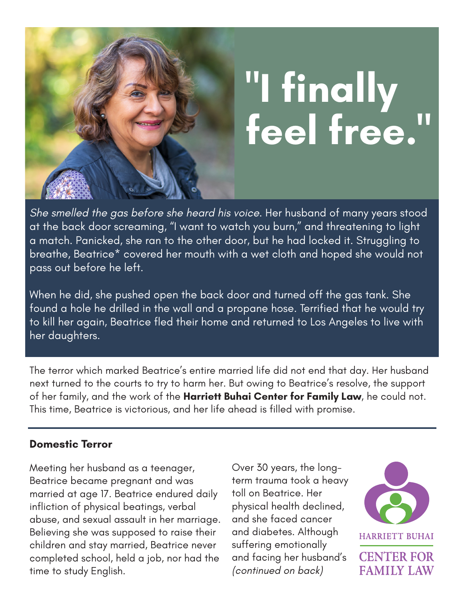

# **"I finally feel free."**

*She smelled the gas before she heard his voice.* Her husband of many years stood at the back door screaming, "I want to watch you burn," and threatening to light a match. Panicked, she ran to the other door, but he had locked it. Struggling to breathe, Beatrice\* covered her mouth with a wet cloth and hoped she would not pass out before he left.

When he did, she pushed open the back door and turned off the gas tank. She found a hole he drilled in the wall and a propane hose. Terrified that he would try to kill her again, Beatrice fled their home and returned to Los Angeles to live with her daughters.

The terror which marked Beatrice's entire married life did not end that day. Her husband next turned to the courts to try to harm her. But owing to Beatrice's resolve, the support of her family, and the work of the **Harriett Buhai Center for Family Law**, he could not. This time, Beatrice is victorious, and her life ahead is filled with promise.

#### **Domestic Terror**

Meeting her husband as a teenager, Beatrice became pregnant and was married at age 17. Beatrice endured daily infliction of physical beatings, verbal abuse, and sexual assault in her marriage. Believing she was supposed to raise their children and stay married, Beatrice never completed school, held a job, nor had the time to study English.

Over 30 years, the longterm trauma took a heavy toll on Beatrice. Her physical health declined, and she faced cancer and diabetes. Although suffering emotionally and facing her husband's *(continued on back)*